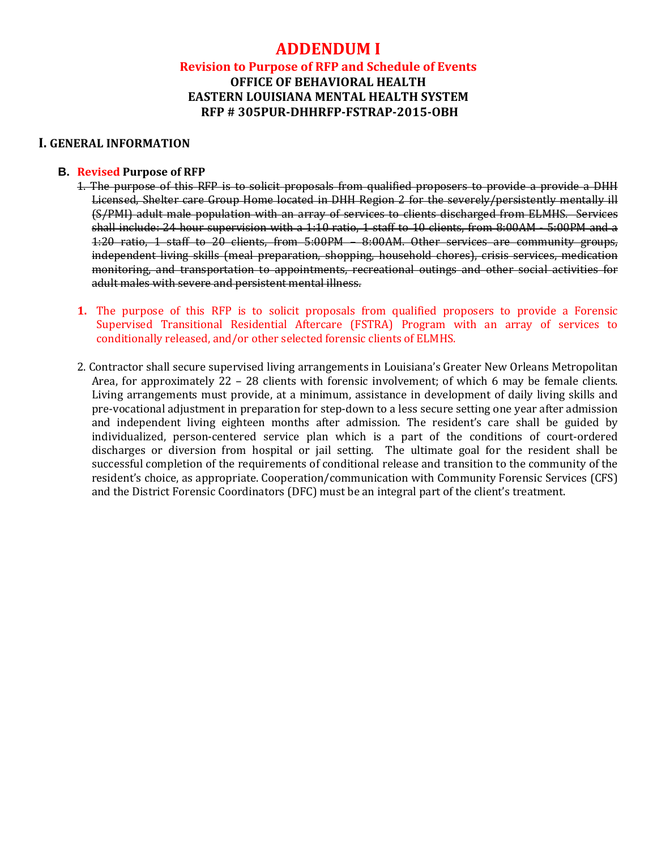# **ADDENDUM I**

### **Revision to Purpose of RFP and Schedule of Events OFFICE OF BEHAVIORAL HEALTH EASTERN LOUISIANA MENTAL HEALTH SYSTEM RFP # 305PUR-DHHRFP-FSTRAP-2015-OBH**

#### **I. GENERAL INFORMATION**

#### **B. Revised Purpose of RFP**

- 1. The purpose of this RFP is to solicit proposals from qualified proposers to provide a provide a DHH Licensed, Shelter care Group Home located in DHH Region 2 for the severely/persistently mentally ill (S/PMI) adult male population with an array of services to clients discharged from ELMHS. Services shall include: 24 hour supervision with a 1:10 ratio, 1 staff to 10 clients, from 8:00AM - 5:00PM and a 1:20 ratio, 1 staff to 20 clients, from 5:00PM – 8:00AM. Other services are community groups, independent living skills (meal preparation, shopping, household chores), crisis services, medication monitoring, and transportation to appointments, recreational outings and other social activities for adult males with severe and persistent mental illness.
- **1.** The purpose of this RFP is to solicit proposals from qualified proposers to provide a Forensic Supervised Transitional Residential Aftercare (FSTRA) Program with an array of services to conditionally released, and/or other selected forensic clients of ELMHS.
- 2. Contractor shall secure supervised living arrangements in Louisiana's Greater New Orleans Metropolitan Area, for approximately 22 – 28 clients with forensic involvement; of which 6 may be female clients. Living arrangements must provide, at a minimum, assistance in development of daily living skills and pre-vocational adjustment in preparation for step-down to a less secure setting one year after admission and independent living eighteen months after admission. The resident's care shall be guided by individualized, person-centered service plan which is a part of the conditions of court-ordered discharges or diversion from hospital or jail setting. The ultimate goal for the resident shall be successful completion of the requirements of conditional release and transition to the community of the resident's choice, as appropriate. Cooperation/communication with Community Forensic Services (CFS) and the District Forensic Coordinators (DFC) must be an integral part of the client's treatment.